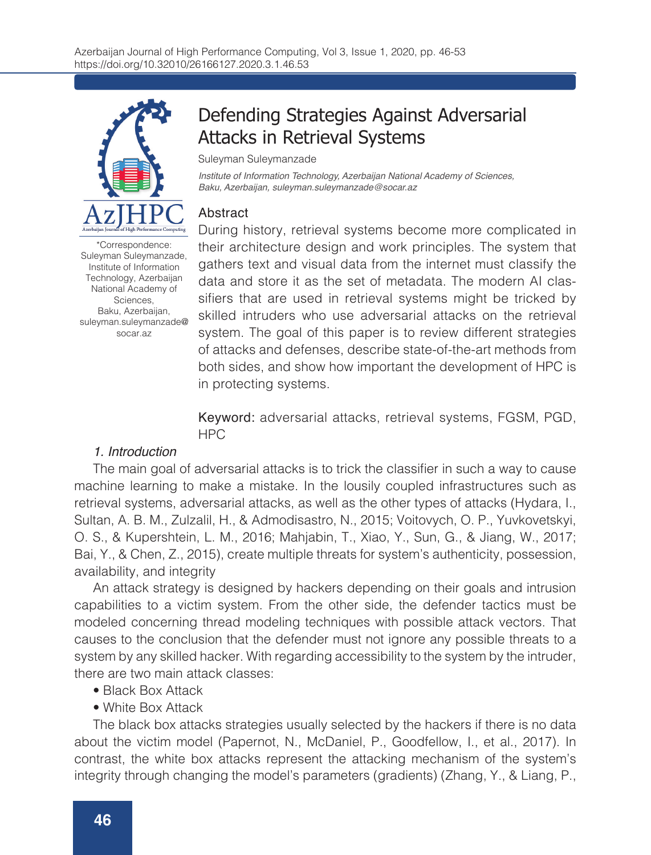

Defending Strategies Against Adversarial Attacks in Retrieval Systems

Suleyman Suleymanzade

*Institute of Information Technology, Azerbaijan National Academy of Sciences, Baku, Azerbaijan, suleyman.suleymanzade@socar.az*

### Abstract

\*Correspondence: Suleyman Suleymanzade, Institute of Information Technology, Azerbaijan National Academy of Sciences, Baku, Azerbaijan, suleyman.suleymanzade@ socar.az

During history, retrieval systems become more complicated in their architecture design and work principles. The system that gathers text and visual data from the internet must classify the data and store it as the set of metadata. The modern AI classifiers that are used in retrieval systems might be tricked by skilled intruders who use adversarial attacks on the retrieval system. The goal of this paper is to review different strategies of attacks and defenses, describe state-of-the-art methods from both sides, and show how important the development of HPC is in protecting systems.

Keyword: adversarial attacks, retrieval systems, FGSM, PGD, HPC

### *1. Introduction*

The main goal of adversarial attacks is to trick the classifier in such a way to cause machine learning to make a mistake. In the lousily coupled infrastructures such as retrieval systems, adversarial attacks, as well as the other types of attacks (Hydara, I., Sultan, A. B. M., Zulzalil, H., & Admodisastro, N., 2015; Voitovych, O. P., Yuvkovetskyi, O. S., & Kupershtein, L. M., 2016; Mahjabin, T., Xiao, Y., Sun, G., & Jiang, W., 2017; Bai, Y., & Chen, Z., 2015), create multiple threats for system's authenticity, possession, availability, and integrity

An attack strategy is designed by hackers depending on their goals and intrusion capabilities to a victim system. From the other side, the defender tactics must be modeled concerning thread modeling techniques with possible attack vectors. That causes to the conclusion that the defender must not ignore any possible threats to a system by any skilled hacker. With regarding accessibility to the system by the intruder, there are two main attack classes:

- Black Box Attack
- White Box Attack

The black box attacks strategies usually selected by the hackers if there is no data about the victim model (Papernot, N., McDaniel, P., Goodfellow, I., et al., 2017). In contrast, the white box attacks represent the attacking mechanism of the system's integrity through changing the model's parameters (gradients) (Zhang, Y., & Liang, P.,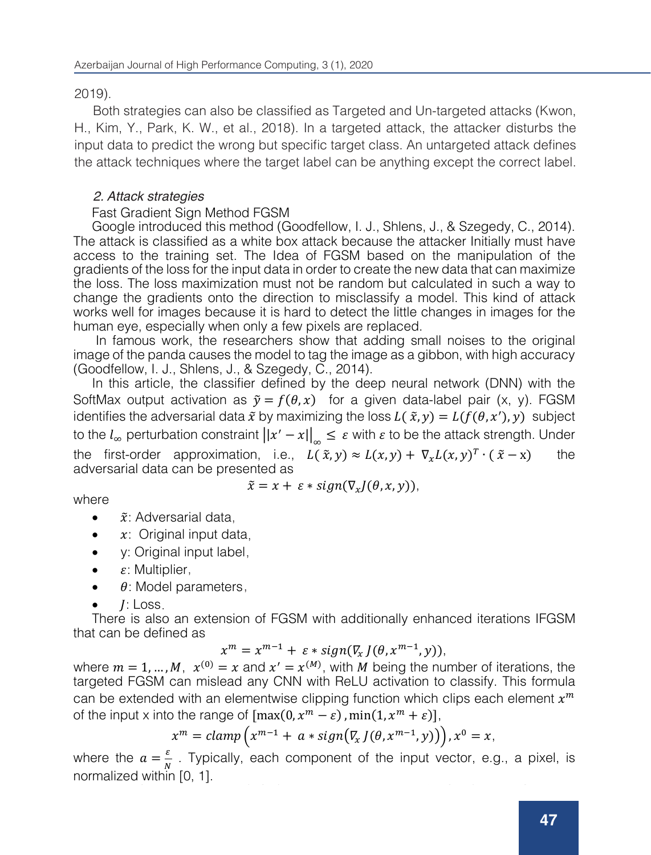2019).

Both strategies can also be classified as Targeted and Un-targeted attacks (Kwon, H., Kim, Y., Park, K. W., et al., 2018). In a targeted attack, the attacker disturbs the input data to predict the wrong but specific target class. An untargeted attack defines the attack techniques where the target label can be anything except the correct label.

## *2. Attack strategies*

## Fast Gradient Sign Method FGSM

Google introduced this method (Goodfellow, I. J., Shlens, J., & Szegedy, C., 2014). The attack is classified as a white box attack because the attacker Initially must have access to the training set. The Idea of FGSM based on the manipulation of the gradients of the loss for the input data in order to create the new data that can maximize the loss. The loss maximization must not be random but calculated in such a way to change the gradients onto the direction to misclassify a model. This kind of attack works well for images because it is hard to detect the little changes in images for the human eye, especially when only a few pixels are replaced.

In famous work, the researchers show that adding small noises to the original image of the panda causes the model to tag the image as a gibbon, with high accuracy (Goodfellow, I. J., Shlens, J., & Szegedy, C., 2014).

In this article, the classifier defined by the deep neural network (DNN) with the SoftMax output activation as  $\tilde{y} = f(\theta, x)$  for a given data-label pair (x, y). FGSM identifies the adversarial data  $\tilde{x}$  by maximizing the loss  $L(\tilde{x}, y) = L(f(\theta, x'), y)$  subject to the  $l_{\infty}$  perturbation constraint  $\left|\left|x'-x\right|\right|_{\infty}\leq \varepsilon$  with  $\varepsilon$  to be the attack strength. Under the first-order approximation, i.e.,  $L(\tilde{x}, y) \approx L(x, y) + \nabla_x L(x, y)^T \cdot (\tilde{x} - x)$  the adversarial data can be presented as

where

$$
\tilde{x} = x + \varepsilon * sign(\nabla_x J(\theta, x, y)),
$$

- $\tilde{x}$ : Adversarial data,
- $\bullet$   $x$ : Original input data,
- y: Original input label,
- $\varepsilon$ : Multiplier,
- $\varepsilon$ : Multiplier,<br>•  $\theta$ : Model parameters,
- $\bullet$   $J:$  Loss.

There is also an extension of FGSM with additionally enhanced iterations IFGSM that can be defined as

$$
x^m = x^{m-1} + \varepsilon * sign(\nabla_x J(\theta, x^{m-1}, y)),
$$

where  $m = 1, ..., M$ ,  $x^{(0)} = x$  and  $x' = x^{(M)}$ , with M being the number of iterations, the targeted FGSM can mislead any CNN with ReLU activation to classify. This formula can be extended with an elementwise clipping function which clips each element  $x^m$ of the input x into the range of  $[\max(0, x^m - \varepsilon), \min(1, x^m + \varepsilon)]$ ,

$$
x^m = clamp(x^{m-1} + a * sign(\nabla_x J(\theta, x^{m-1}, y)))\n), x^0 = x,
$$

where the  $a = \frac{\varepsilon}{N}$ . Typically, each component of the input vector, e.g., a pixel, is normalized within [0, 1].

Haviarova, E., & Benes, B., 2019). The idea based on randomly picking a point within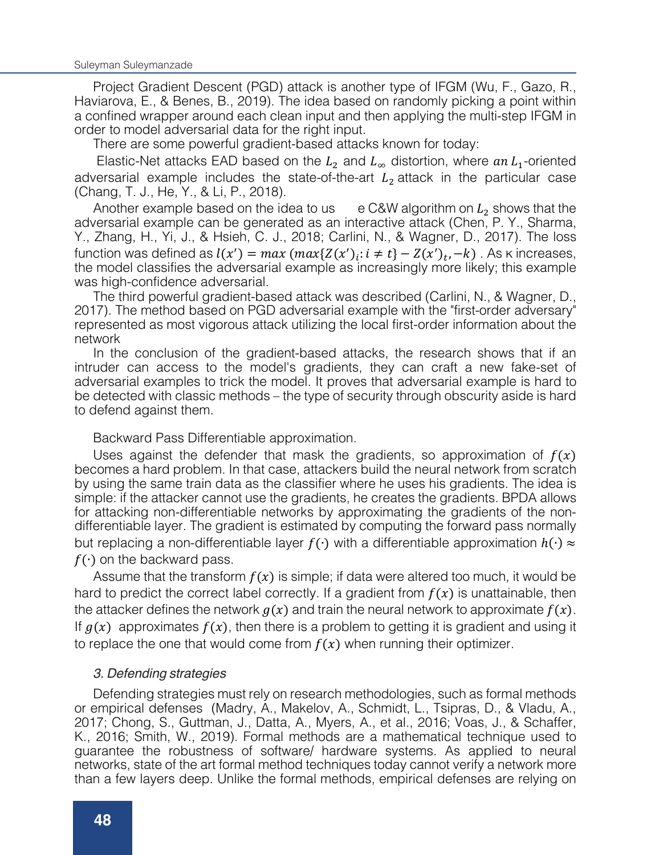Project Gradient Descent (PGD) attack is another type of IFGM (Wu, F., Gazo, R., 1) Haviarova, E., & Benes, B., 2019). The idea based on randomly picking a point within riavial ova; E.; & Berles, B.; 2010). The face based of randomly plenting a point within<br>a confined wrapper around each clean input and then applying the multi-step IFGM in a commed wrapper around each clean input and then applying the mail step if Givin in<br>order to model adversarial data for the right input.

of act to moder adversand data for the ngin lipat.<br>There are some powerful gradient-based attacks known for today:

Elastic-Net attacks EAD based on the  $L_2$  and  $L_\infty$  distortion, where  $an L_1$ -oriented adversarial example includes the state-of-the-art  $L_2$  attack in the particular case<br>(Chang T J He Y & Li P 2018) (Chang, T. J., He, Y., & Li, P., 2018).  $T$ dasiic-iver arracks EAD based on the  $L_2$  and  $L_\infty$  distortion, when

Another example based on the idea to us  $\frac{1}{2}$  example includes the state of the state of the state of the particular case intersective attack in the particular case of the particular case, intersective attack in the p adversarial example can be generated as an interactive attack (Chen, P. Y., Sharma, adversandrexample ban be generated as an increditive attack (energy F. F., onarma,<br>Y., Zhang, H., Yi, J., & Hsieh, C. J., 2018; Carlini, N., & Wagner, D., 2017). The loss function was defined as  $l(x') = max(max{Z(x')_i:i \neq t} - Z(x')_t, -k)$ . As k increases, the model classifies the adversarial example as increasingly more likely; this example<br>was high-confidence adversarial. the model classifies the adversar<br>was high-confidence adversarial. Function was defined as  $Y(x) = max$  ( $max{Z(x_j; i \neq l} = Z(x_j, -k)$ ). As R increases,

was high connactive daversarial.<br>The third powerful gradient-based attack was described (Carlini, N., & Wagner, D., me this thing powerful gradient based attach was desembed (Samin, N., & Wagner, B., 2017). The method based on PGD adversarial example with the "first-order adversary" zo Tr. The method based on TGB adversand example with the first order daversary<br>represented as most vigorous attack utilizing the local first-order information about the network To produced as most vigorous attack atmizing the local method christmation about the "first-order".

In the conclusion of the gradient-based attacks, the research shows that if an intruder can access to the model's gradients, they can craft a new fake-set of madder can decess to the models gradients, they can clare a new rate set of adversarial examples to trick the model. It proves that adversarial example is hard to adversand examples to their the model. It proves that deversand example is hard to<br>be detected with classic methods – the type of security through obscurity aside is hard to defend against them. adverse with order the model. It proves the model is proved to that a model is hard to that a result of the model. It is not a model is that and to the model of the model is that and the model is that and the model is not be detected with classic methods – the type of security through obscurity aside is hard

Backward Pass Differentiable approximation.

Uses against the defender that mask the gradients, so approximation of  $f(x)$ becomes a hard problem. In that case, attackers build the neural network from scratch becomes a hard problem. In that case, attackers baild the nearal network from soraton<br>by using the same train data as the classifier where he uses his gradients. The idea is by doing the same train data as the stassine. Where he does no gradients. The idea is simple: if the attacker cannot use the gradients, he creates the gradients. BPDA allows simple: if the attacker cannot use the gradients, he creates the gradients. Br BA allows<br>for attacking non-differentiable networks by approximating the gradients of the nonof attacking non-attack-mable-hetworks by approximating the gradients of the non-<br>differentiable layer. The gradient is estimated by computing the forward pass normally but replacing a non-differentiable layer  $f(\cdot)$  with a differentiable approximation  $h(\cdot) \approx$  $f(\cdot)$  on the backward pass. but replacing a non-differentiable layer  $f(\cdot)$  with a differentiable approximation  $h(\cdot) \approx$ but replacing a non-differentiable layer (° ).<br>Differentiable la differentiable approximation of a differentiable approximation approximation approximation t

Assume that the transform  $f(x)$  is simple; if data were altered too much, it would be hard to predict the correct label correctly. If a gradient from  $f(x)$  is unattainable, then the attacker defines the naturals  $f(x)$ the attacker defines the network  $g(x)$  and train the neural network to approximate  $f(x)$ .<br>If a(x), approximates  $f(x)$ , then there is a grablem to gatting it is argaliant and union it. If  $g(x)$  approximates  $f(x)$ , then there is a problem to getting it is gradient and using it to region the approximates the training the network to approximate (). to replace the one that would come from  $f(x)$  when running their optimizer. (∧+) ASSUME that the transform<br>I back the assessed backward to pass.

# 3. Defending strategies

of Random Transform BaRT. Adversarial Training

Defending strategies must rely on research methodologies, such as formal methods 2018) Electroning Strategies Intest Figure 1011 (1958) Electronic Computer Strategies Strategies A., Andrea D., 2016; Vocal Library A., Cobraidt, J., Toirroe, D., 2016; Vochu, A. or empirical defenses (Madry, A., Makelov, A., Schmidt, L., Tsipras, D., & Vladu, A.,<br>2017: Cheng, S., Cuttmen, J., Dette, A., Muere, A., et el., 2016; Veee, J., & Scheffer 2017; Chong, S., Guttman, J., Datta, A., Myers, A., et al., 2016; Voas, J., & Schaffer,<br>K., 2016; Smith, W., 2010), Eermel methode are a methomotical technique used to R., 2010, Smilin, W., 2019). Formal methods are a mathematical technique used to<br>guarantee the robustness of software/ hardware systems. As applied to neural than a few layers deep. Unlike the formal method to have the formal methods, empirical defenses are relying on  $\epsilon$ networks, state of the art formal method techniques today cannot verify a network more<br>then a four lovere doop. Unlike the formal methods, empirical defenses are relying an than a few layers deep. Unlike the formal methods, empirical defenses are relying on K., 2016; Smith, W., 2019). Formal methods are a mathematical technique used to

training, Gradient Masking, Extra class, Input modification, Detection, and the Barrage

This technique based on the idea that the defender trains the adversarial examples with the rest of the dataset. This method teaches the model teaches the model to ignore noises and only in the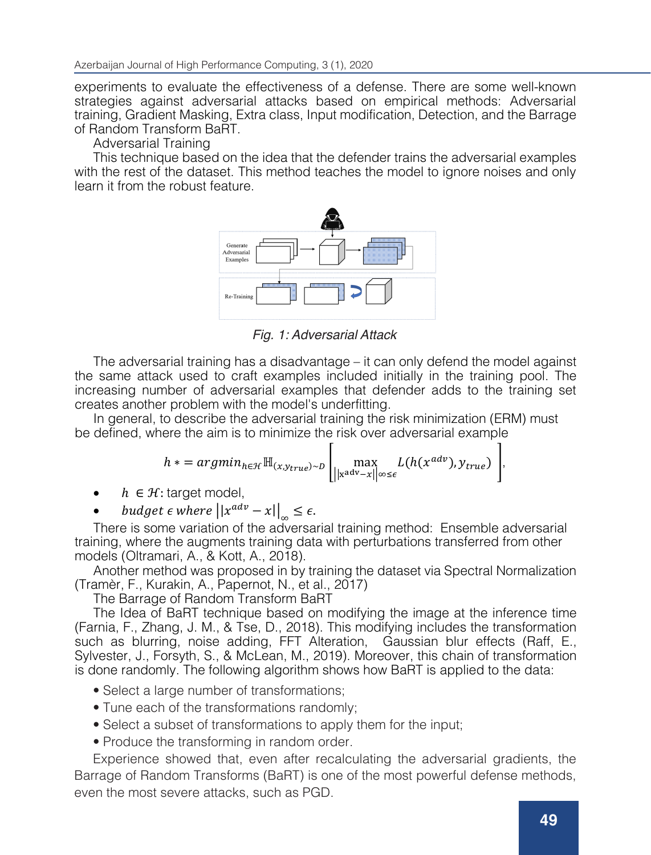experiments to evaluate the effectiveness of a defense. There are some well-known experiments to evaluate the effectiveness of a defense. There are some well-known<br>strategies against adversarial attacks based on empirical methods: Adversarial<br>training Credient Medius Extra class langt medification Peter training, Gradient Masking, Extra class, Input modification, Detection, and the Barrage<br>of Bandom Transform BaBT of Random Transform BaRT.

Adversarial Training

Adversanar training<br>This technique based on the idea that the defender trains the adversarial examples with the rest of the dataset. This method teaches the model to ignore noises and only<br>Least if face the school fecture learn it from the robust feature. or empirical defenses (Madrid defenses (Madrid de General de la constanta de Santa examples).<br>El segundo de Santa Caractería de Santa Caractería (Madrid de Santa Caractería de la constanta de Santa Caract



with the rest of the dataset. This method teaches the model to ignore noises and only *Fig. 1: Adversarial Attack*

The adversarial training has a disadvantage – it can only defend the model against the same attack used to craft examples included initially in the training pool. The increasing number of adversarial examples that defender adds to the training set And another problem with the model standard was proposed in the data set via Spectral Normalization of the data creates another problem with the model's underfitting.

In general, to describe the adversarial training the risk minimization (ERM) must<br>be defined where the similar the minimize the risk must be received assembly be defined, where the aim is to minimize the risk over adversarial example

$$
h * = argmin_{h \in \mathcal{H}} \mathbb{H}_{(x, y_{true}) \sim D} \left[ \max_{\left\| \mathbf{x}^{adv} - x \right\| \leq \epsilon} L(h(x^{adv}), y_{true}) \right],
$$

- **h**  $\in \mathcal{H}$ : target model,
- budget  $\epsilon$  where  $||x^{adv} x||_{\infty} \leq \epsilon$ .

There is some variation of the adversarial training method: Ensemble adversarial training, where the augments training data with perturbations transferred from other models (Oltramari, A., & Kott, A., 2018).

Another method was proposed in by training the dataset via Spectral Normalization (Tramèr, F., Kurakin, A., Papernot, N., et al., 2017)

The Barrage of Random Transform BaRT

The Idea of BaRT technique based on modifying the image at the inference time (Farnia, F., Zhang, J. M., & Tse, D., 2018). This modifying includes the transformation such as blurring, noise adding, FFT Alteration, Gaussian blur effects (Raff, E., Sylvester, J., Forsyth, S., & McLean, M., 2019). Moreover, this chain of transformation is done randomly. The following algorithm shows how BaRT is applied to the data:

- Select a large number of transformations Select a large number of transformations;
- Tune each of the transformations randomly;
- Select a subset of transformations to apply them for the input;
- Produce the transforming in random order.

Experience showed that, even after recalculating the adversarial gradients, the Barrage of Random Transforms (BaRT) is one of the most powerful defense methods, even the most severe attacks, such as PGD.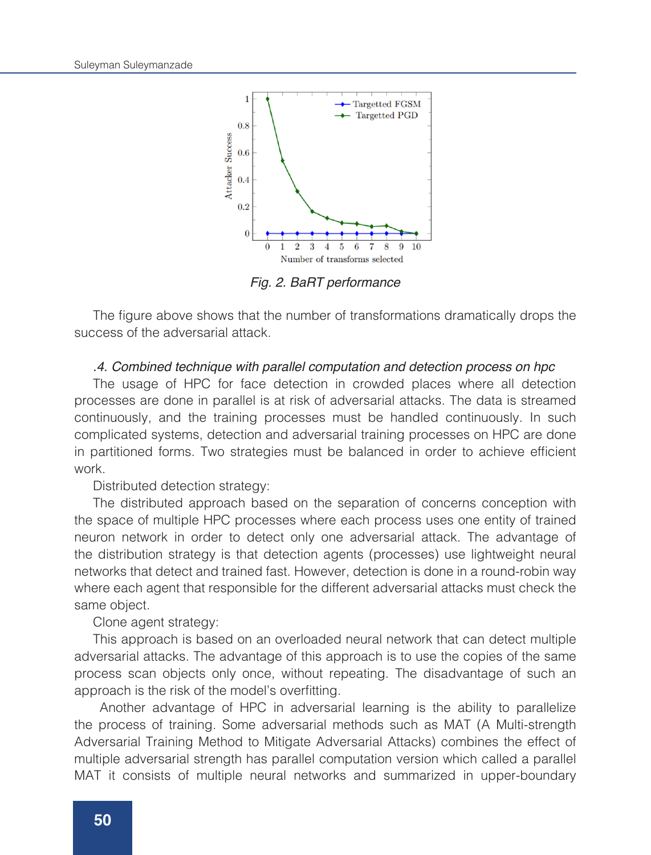

*Fig. 2. BaRT performance*

The figure above shows that the number of transformations dramatically drops the success of the adversarial attack.

#### *.4. Combined technique with parallel computation and detection process on hpc*

The usage of HPC for face detection in crowded places where all detection processes are done in parallel is at risk of adversarial attacks. The data is streamed continuously, and the training processes must be handled continuously. In such complicated systems, detection and adversarial training processes on HPC are done in partitioned forms. Two strategies must be balanced in order to achieve efficient work.

Distributed detection strategy:

The distributed approach based on the separation of concerns conception with the space of multiple HPC processes where each process uses one entity of trained neuron network in order to detect only one adversarial attack. The advantage of the distribution strategy is that detection agents (processes) use lightweight neural networks that detect and trained fast. However, detection is done in a round-robin way where each agent that responsible for the different adversarial attacks must check the same object.

Clone agent strategy:

This approach is based on an overloaded neural network that can detect multiple adversarial attacks. The advantage of this approach is to use the copies of the same process scan objects only once, without repeating. The disadvantage of such an approach is the risk of the model's overfitting.

 Another advantage of HPC in adversarial learning is the ability to parallelize the process of training. Some adversarial methods such as MAT (A Multi-strength Adversarial Training Method to Mitigate Adversarial Attacks) combines the effect of multiple adversarial strength has parallel computation version which called a parallel MAT it consists of multiple neural networks and summarized in upper-boundary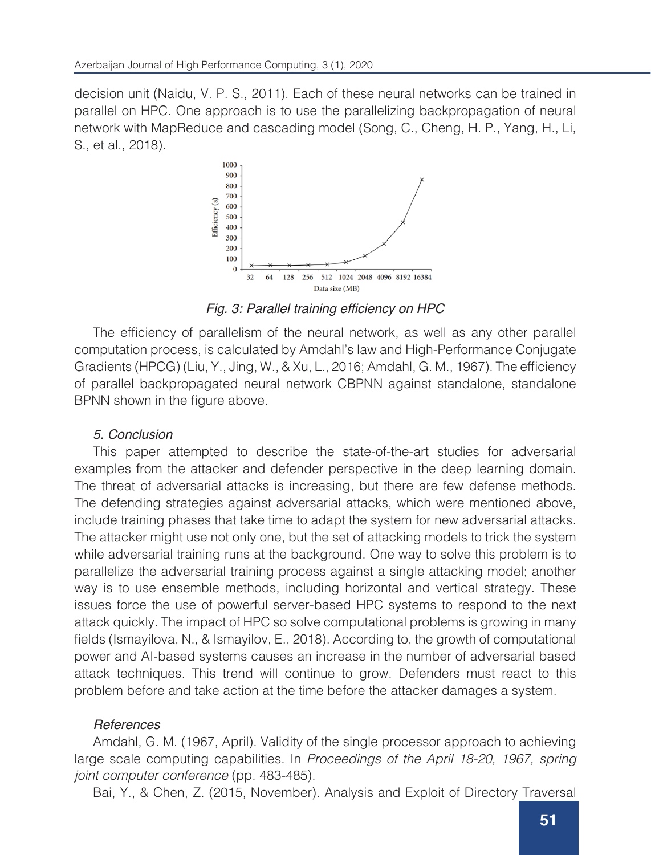decision unit (Naidu, V. P. S., 2011). Each of these neural networks can be trained in parallel on HPC. One approach is to use the parallelizing backpropagation of neural network with MapReduce and cascading model (Song, C., Cheng, H. P., Yang, H., Li, S., et al., 2018).



Fig. 3: Parallel training efficiency on HPC

The efficiency of parallelism of the neural network, as well as any other parallel computation process, is calculated by Amdahl's law and High-Performance Conjugate Gradients (HPCG) (Liu, Y., Jing, W., & Xu, L., 2016; Amdahl, G. M., 1967). The efficiency of parallel backpropagated neural network CBPNN against standalone, standalone BPNN shown in the figure above.

### *5. Conclusion*

This paper attempted to describe the state-of-the-art studies for adversarial examples from the attacker and defender perspective in the deep learning domain. The threat of adversarial attacks is increasing, but there are few defense methods. The defending strategies against adversarial attacks, which were mentioned above, include training phases that take time to adapt the system for new adversarial attacks. The attacker might use not only one, but the set of attacking models to trick the system while adversarial training runs at the background. One way to solve this problem is to parallelize the adversarial training process against a single attacking model; another way is to use ensemble methods, including horizontal and vertical strategy. These issues force the use of powerful server-based HPC systems to respond to the next attack quickly. The impact of HPC so solve computational problems is growing in many fields (Ismayilova, N., & Ismayilov, E., 2018). According to, the growth of computational power and AI-based systems causes an increase in the number of adversarial based attack techniques. This trend will continue to grow. Defenders must react to this problem before and take action at the time before the attacker damages a system.

## *References*

Amdahl, G. M. (1967, April). Validity of the single processor approach to achieving large scale computing capabilities. In *Proceedings of the April 18-20, 1967, spring joint computer conference* (pp. 483-485).

Bai, Y., & Chen, Z. (2015, November). Analysis and Exploit of Directory Traversal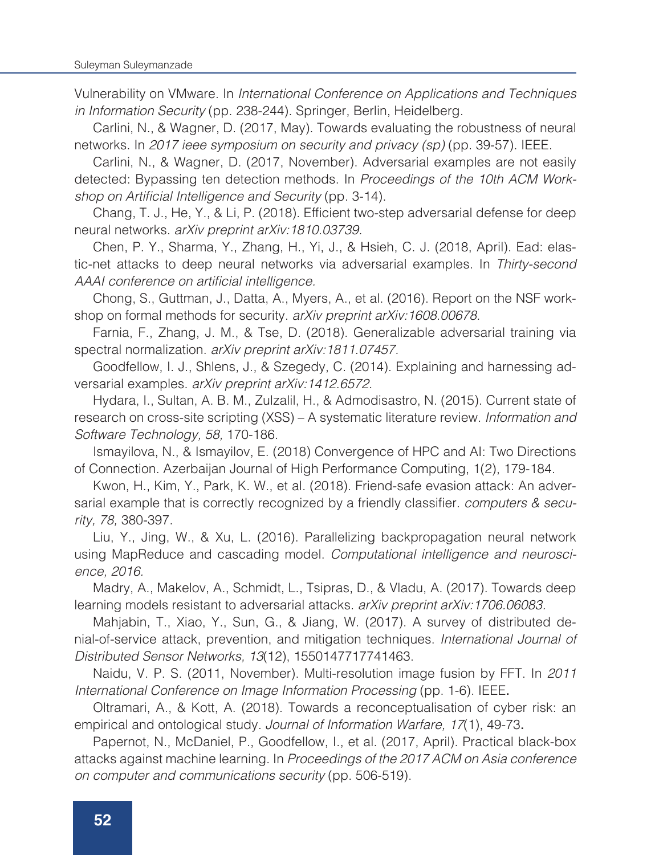Vulnerability on VMware. In *International Conference on Applications and Techniques in Information Security* (pp. 238-244). Springer, Berlin, Heidelberg.

Carlini, N., & Wagner, D. (2017, May). Towards evaluating the robustness of neural networks. In *2017 ieee symposium on security and privacy (sp)* (pp. 39-57). IEEE.

Carlini, N., & Wagner, D. (2017, November). Adversarial examples are not easily detected: Bypassing ten detection methods. In *Proceedings of the 10th ACM Work*shop on Artificial Intelligence and Security (pp. 3-14).

Chang, T. J., He, Y., & Li, P. (2018). Efficient two-step adversarial defense for deep neural networks. *arXiv preprint arXiv:1810.03739.* 

Chen, P. Y., Sharma, Y., Zhang, H., Yi, J., & Hsieh, C. J. (2018, April). Ead: elastic-net attacks to deep neural networks via adversarial examples. In *Thirty-second*  AAAI conference on artificial intelligence.

Chong, S., Guttman, J., Datta, A., Myers, A., et al. (2016). Report on the NSF workshop on formal methods for security. *arXiv preprint arXiv:1608.00678.*

Farnia, F., Zhang, J. M., & Tse, D. (2018). Generalizable adversarial training via spectral normalization. *arXiv preprint arXiv:1811.07457.*

Goodfellow, I. J., Shlens, J., & Szegedy, C. (2014). Explaining and harnessing adversarial examples. *arXiv preprint arXiv:1412.6572.* 

Hydara, I., Sultan, A. B. M., Zulzalil, H., & Admodisastro, N. (2015). Current state of research on cross-site scripting (XSS) – A systematic literature review. *Information and Software Technology, 58,* 170-186.

Ismayilova, N., & Ismayilov, E. (2018) Convergence of HPC and AI: Two Directions of Connection. Azerbaijan Journal of High Performance Computing, 1(2), 179-184.

Kwon, H., Kim, Y., Park, K. W., et al. (2018). Friend-safe evasion attack: An adversarial example that is correctly recognized by a friendly classifier. *computers & security, 78,* 380-397.

Liu, Y., Jing, W., & Xu, L. (2016). Parallelizing backpropagation neural network using MapReduce and cascading model. *Computational intelligence and neuroscience, 2016.*

Madry, A., Makelov, A., Schmidt, L., Tsipras, D., & Vladu, A. (2017). Towards deep learning models resistant to adversarial attacks. *arXiv preprint arXiv:1706.06083.*

Mahjabin, T., Xiao, Y., Sun, G., & Jiang, W. (2017). A survey of distributed denial-of-service attack, prevention, and mitigation techniques. *International Journal of Distributed Sensor Networks, 13*(12), 1550147717741463.

Naidu, V. P. S. (2011, November). Multi-resolution image fusion by FFT. In *2011 International Conference on Image Information Processing* (pp. 1-6). IEEE.

Oltramari, A., & Kott, A. (2018). Towards a reconceptualisation of cyber risk: an empirical and ontological study*. Journal of Information Warfare, 17*(1), 49-73.

Papernot, N., McDaniel, P., Goodfellow, I., et al. (2017, April). Practical black-box attacks against machine learning. In *Proceedings of the 2017 ACM on Asia conference on computer and communications security* (pp. 506-519).